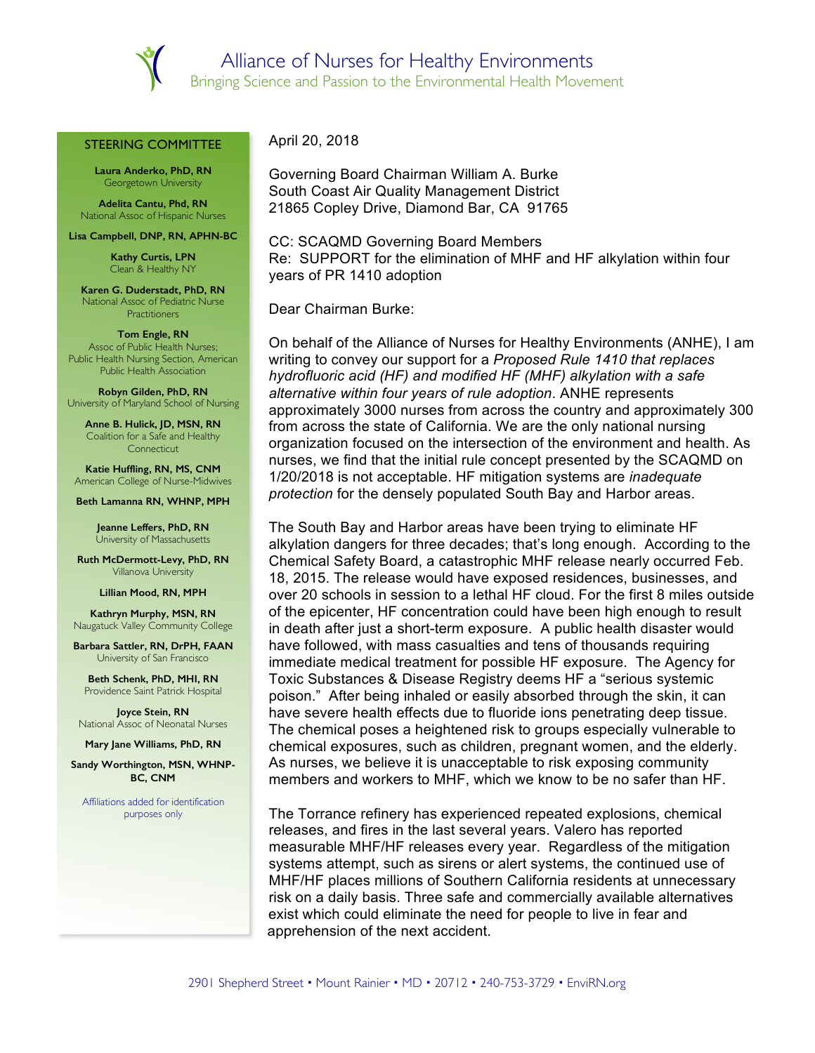

## STEERING COMMITTEE

**Laura Anderko, PhD, RN** Georgetown University

**Adelita Cantu, Phd, RN** National Assoc of Hispanic Nurses

**Lisa Campbell, DNP, RN, APHN-BC**

**Kathy Curtis, LPN** Clean & Healthy NY

**Karen G. Duderstadt, PhD, RN** National Assoc of Pediatric Nurse **Practitioners** 

## **Tom Engle, RN**

Assoc of Public Health Nurses; Public Health Nursing Section, American Public Health Association

**Robyn Gilden, PhD, RN** University of Maryland School of Nursing

**Anne B. Hulick, JD, MSN, RN** Coalition for a Safe and Healthy **Connecticut** 

**Katie Huffling, RN, MS, CNM** American College of Nurse-Midwives

## **Beth Lamanna RN, WHNP, MPH**

**Jeanne Leffers, PhD, RN** University of Massachusetts

**Ruth McDermott-Levy, PhD, RN** Villanova University

**Lillian Mood, RN, MPH**

**Kathryn Murphy, MSN, RN** Naugatuck Valley Community College

**Barbara Sattler, RN, DrPH, FAAN** University of San Francisco

**Beth Schenk, PhD, MHI, RN** Providence Saint Patrick Hospital

**Joyce Stein, RN** National Assoc of Neonatal Nurses

**Mary Jane Williams, PhD, RN** 

**Sandy Worthington, MSN, WHNP-BC, CNM**

Affiliations added for identification purposes only

April 20, 2018

Governing Board Chairman William A. Burke South Coast Air Quality Management District 21865 Copley Drive, Diamond Bar, CA 91765

CC: SCAQMD Governing Board Members Re: SUPPORT for the elimination of MHF and HF alkylation within four years of PR 1410 adoption

Dear Chairman Burke:

On behalf of the Alliance of Nurses for Healthy Environments (ANHE), I am writing to convey our support for a *Proposed Rule 1410 that replaces hydrofluoric acid (HF) and modified HF (MHF) alkylation with a safe alternative within four years of rule adoption*. ANHE represents approximately 3000 nurses from across the country and approximately 300 from across the state of California. We are the only national nursing organization focused on the intersection of the environment and health. As nurses, we find that the initial rule concept presented by the SCAQMD on 1/20/2018 is not acceptable. HF mitigation systems are *inadequate protection* for the densely populated South Bay and Harbor areas.

The South Bay and Harbor areas have been trying to eliminate HF alkylation dangers for three decades; that's long enough. According to the Chemical Safety Board, a catastrophic MHF release nearly occurred Feb. 18, 2015. The release would have exposed residences, businesses, and over 20 schools in session to a lethal HF cloud. For the first 8 miles outside of the epicenter, HF concentration could have been high enough to result in death after just a short-term exposure. A public health disaster would have followed, with mass casualties and tens of thousands requiring immediate medical treatment for possible HF exposure. The Agency for Toxic Substances & Disease Registry deems HF a "serious systemic poison." After being inhaled or easily absorbed through the skin, it can have severe health effects due to fluoride ions penetrating deep tissue. The chemical poses a heightened risk to groups especially vulnerable to chemical exposures, such as children, pregnant women, and the elderly. As nurses, we believe it is unacceptable to risk exposing community members and workers to MHF, which we know to be no safer than HF.

The Torrance refinery has experienced repeated explosions, chemical releases, and fires in the last several years. Valero has reported measurable MHF/HF releases every year. Regardless of the mitigation systems attempt, such as sirens or alert systems, the continued use of MHF/HF places millions of Southern California residents at unnecessary risk on a daily basis. Three safe and commercially available alternatives exist which could eliminate the need for people to live in fear and apprehension of the next accident.